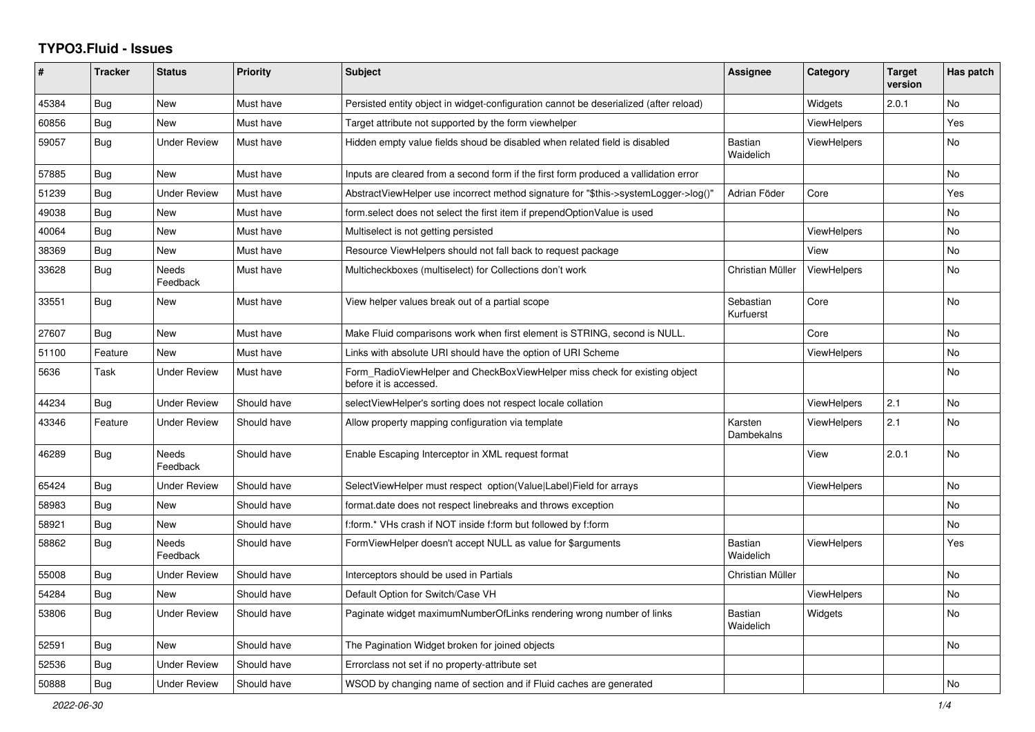## **TYPO3.Fluid - Issues**

| #     | <b>Tracker</b> | <b>Status</b>            | <b>Priority</b> | Subject                                                                                              | Assignee                    | Category           | <b>Target</b><br>version | Has patch |
|-------|----------------|--------------------------|-----------------|------------------------------------------------------------------------------------------------------|-----------------------------|--------------------|--------------------------|-----------|
| 45384 | Bug            | New                      | Must have       | Persisted entity object in widget-configuration cannot be deserialized (after reload)                |                             | Widgets            | 2.0.1                    | No        |
| 60856 | Bug            | New                      | Must have       | Target attribute not supported by the form viewhelper                                                |                             | <b>ViewHelpers</b> |                          | Yes       |
| 59057 | Bug            | <b>Under Review</b>      | Must have       | Hidden empty value fields shoud be disabled when related field is disabled                           | <b>Bastian</b><br>Waidelich | <b>ViewHelpers</b> |                          | No.       |
| 57885 | Bug            | <b>New</b>               | Must have       | Inputs are cleared from a second form if the first form produced a vallidation error                 |                             |                    |                          | No        |
| 51239 | Bug            | <b>Under Review</b>      | Must have       | AbstractViewHelper use incorrect method signature for "\$this->systemLogger->log()"                  | Adrian Föder                | Core               |                          | Yes       |
| 49038 | Bug            | New                      | Must have       | form select does not select the first item if prependOptionValue is used                             |                             |                    |                          | No        |
| 40064 | Bug            | <b>New</b>               | Must have       | Multiselect is not getting persisted                                                                 |                             | ViewHelpers        |                          | No        |
| 38369 | Bug            | New                      | Must have       | Resource ViewHelpers should not fall back to request package                                         |                             | View               |                          | No        |
| 33628 | Bug            | Needs<br>Feedback        | Must have       | Multicheckboxes (multiselect) for Collections don't work                                             | Christian Müller            | <b>ViewHelpers</b> |                          | No        |
| 33551 | Bug            | <b>New</b>               | Must have       | View helper values break out of a partial scope                                                      | Sebastian<br>Kurfuerst      | Core               |                          | <b>No</b> |
| 27607 | Bug            | <b>New</b>               | Must have       | Make Fluid comparisons work when first element is STRING, second is NULL.                            |                             | Core               |                          | No        |
| 51100 | Feature        | <b>New</b>               | Must have       | Links with absolute URI should have the option of URI Scheme                                         |                             | <b>ViewHelpers</b> |                          | No        |
| 5636  | Task           | <b>Under Review</b>      | Must have       | Form RadioViewHelper and CheckBoxViewHelper miss check for existing object<br>before it is accessed. |                             |                    |                          | <b>No</b> |
| 44234 | Bug            | <b>Under Review</b>      | Should have     | selectViewHelper's sorting does not respect locale collation                                         |                             | <b>ViewHelpers</b> | 2.1                      | <b>No</b> |
| 43346 | Feature        | <b>Under Review</b>      | Should have     | Allow property mapping configuration via template                                                    | Karsten<br>Dambekalns       | <b>ViewHelpers</b> | 2.1                      | <b>No</b> |
| 46289 | Bug            | Needs<br>Feedback        | Should have     | Enable Escaping Interceptor in XML request format                                                    |                             | View               | 2.0.1                    | No        |
| 65424 | Bug            | <b>Under Review</b>      | Should have     | SelectViewHelper must respect option(Value Label)Field for arrays                                    |                             | ViewHelpers        |                          | No        |
| 58983 | Bug            | New                      | Should have     | format.date does not respect linebreaks and throws exception                                         |                             |                    |                          | No        |
| 58921 | Bug            | <b>New</b>               | Should have     | f:form.* VHs crash if NOT inside f:form but followed by f:form                                       |                             |                    |                          | No        |
| 58862 | Bug            | <b>Needs</b><br>Feedback | Should have     | FormViewHelper doesn't accept NULL as value for \$arguments                                          | <b>Bastian</b><br>Waidelich | <b>ViewHelpers</b> |                          | Yes       |
| 55008 | Bug            | <b>Under Review</b>      | Should have     | Interceptors should be used in Partials                                                              | Christian Müller            |                    |                          | <b>No</b> |
| 54284 | Bug            | New                      | Should have     | Default Option for Switch/Case VH                                                                    |                             | ViewHelpers        |                          | No        |
| 53806 | Bug            | <b>Under Review</b>      | Should have     | Paginate widget maximumNumberOfLinks rendering wrong number of links                                 | Bastian<br>Waidelich        | Widgets            |                          | No        |
| 52591 | Bug            | New                      | Should have     | The Pagination Widget broken for joined objects                                                      |                             |                    |                          | No        |
| 52536 | Bug            | <b>Under Review</b>      | Should have     | Errorclass not set if no property-attribute set                                                      |                             |                    |                          |           |
| 50888 | Bug            | <b>Under Review</b>      | Should have     | WSOD by changing name of section and if Fluid caches are generated                                   |                             |                    |                          | No        |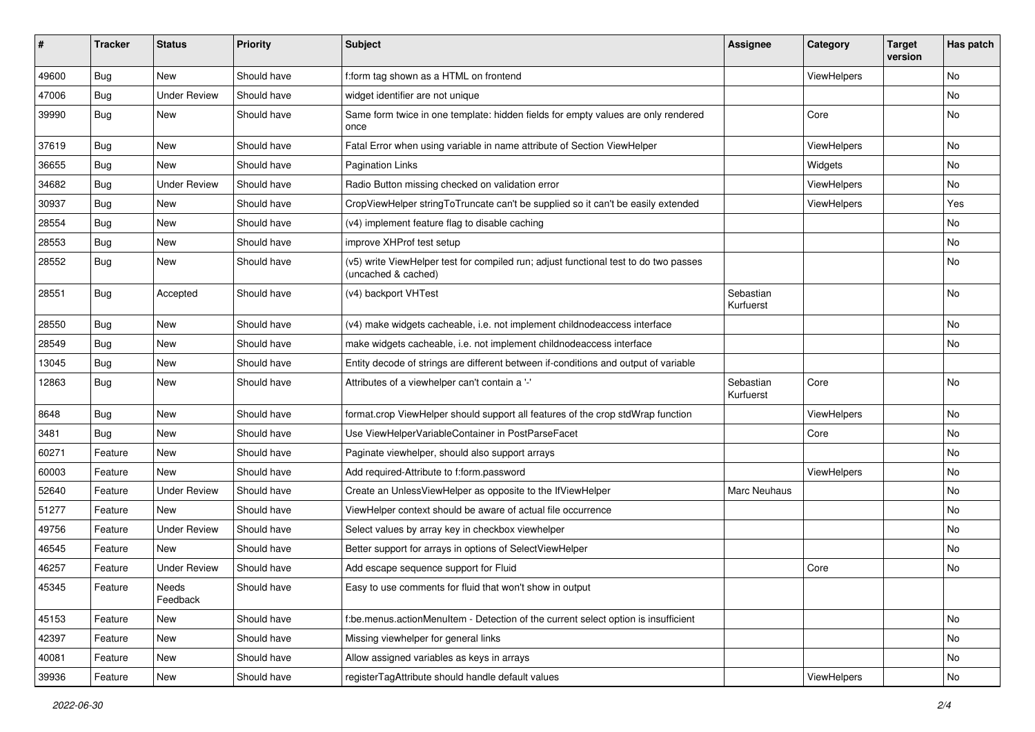| #     | <b>Tracker</b> | <b>Status</b>       | <b>Priority</b> | Subject                                                                                                     | <b>Assignee</b>        | Category    | <b>Target</b><br>version | Has patch |
|-------|----------------|---------------------|-----------------|-------------------------------------------------------------------------------------------------------------|------------------------|-------------|--------------------------|-----------|
| 49600 | Bug            | New                 | Should have     | f:form tag shown as a HTML on frontend                                                                      |                        | ViewHelpers |                          | <b>No</b> |
| 47006 | Bug            | <b>Under Review</b> | Should have     | widget identifier are not unique                                                                            |                        |             |                          | No        |
| 39990 | Bug            | New                 | Should have     | Same form twice in one template: hidden fields for empty values are only rendered<br>once                   |                        | Core        |                          | No        |
| 37619 | Bug            | New                 | Should have     | Fatal Error when using variable in name attribute of Section ViewHelper                                     |                        | ViewHelpers |                          | No        |
| 36655 | Bug            | New                 | Should have     | <b>Pagination Links</b>                                                                                     |                        | Widgets     |                          | No        |
| 34682 | Bug            | <b>Under Review</b> | Should have     | Radio Button missing checked on validation error                                                            |                        | ViewHelpers |                          | No        |
| 30937 | Bug            | New                 | Should have     | CropViewHelper stringToTruncate can't be supplied so it can't be easily extended                            |                        | ViewHelpers |                          | Yes       |
| 28554 | Bug            | New                 | Should have     | (v4) implement feature flag to disable caching                                                              |                        |             |                          | No        |
| 28553 | Bug            | New                 | Should have     | improve XHProf test setup                                                                                   |                        |             |                          | No        |
| 28552 | Bug            | New                 | Should have     | (v5) write ViewHelper test for compiled run; adjust functional test to do two passes<br>(uncached & cached) |                        |             |                          | No        |
| 28551 | Bug            | Accepted            | Should have     | (v4) backport VHTest                                                                                        | Sebastian<br>Kurfuerst |             |                          | No        |
| 28550 | Bug            | New                 | Should have     | (v4) make widgets cacheable, i.e. not implement childnodeaccess interface                                   |                        |             |                          | No        |
| 28549 | Bug            | New                 | Should have     | make widgets cacheable, i.e. not implement childnodeaccess interface                                        |                        |             |                          | No        |
| 13045 | <b>Bug</b>     | New                 | Should have     | Entity decode of strings are different between if-conditions and output of variable                         |                        |             |                          |           |
| 12863 | Bug            | New                 | Should have     | Attributes of a viewhelper can't contain a '-'                                                              | Sebastian<br>Kurfuerst | Core        |                          | <b>No</b> |
| 8648  | Bug            | New                 | Should have     | format.crop ViewHelper should support all features of the crop stdWrap function                             |                        | ViewHelpers |                          | No        |
| 3481  | Bug            | New                 | Should have     | Use ViewHelperVariableContainer in PostParseFacet                                                           |                        | Core        |                          | No        |
| 60271 | Feature        | <b>New</b>          | Should have     | Paginate viewhelper, should also support arrays                                                             |                        |             |                          | No        |
| 60003 | Feature        | New                 | Should have     | Add required-Attribute to f:form.password                                                                   |                        | ViewHelpers |                          | No        |
| 52640 | Feature        | <b>Under Review</b> | Should have     | Create an UnlessViewHelper as opposite to the IfViewHelper                                                  | Marc Neuhaus           |             |                          | No        |
| 51277 | Feature        | New                 | Should have     | ViewHelper context should be aware of actual file occurrence                                                |                        |             |                          | No        |
| 49756 | Feature        | <b>Under Review</b> | Should have     | Select values by array key in checkbox viewhelper                                                           |                        |             |                          | No        |
| 46545 | Feature        | New                 | Should have     | Better support for arrays in options of SelectViewHelper                                                    |                        |             |                          | No        |
| 46257 | Feature        | <b>Under Review</b> | Should have     | Add escape sequence support for Fluid                                                                       |                        | Core        |                          | No        |
| 45345 | Feature        | Needs<br>Feedback   | Should have     | Easy to use comments for fluid that won't show in output                                                    |                        |             |                          |           |
| 45153 | Feature        | New                 | Should have     | f:be.menus.actionMenuItem - Detection of the current select option is insufficient                          |                        |             |                          | No        |
| 42397 | Feature        | New                 | Should have     | Missing viewhelper for general links                                                                        |                        |             |                          | No        |
| 40081 | Feature        | New                 | Should have     | Allow assigned variables as keys in arrays                                                                  |                        |             |                          | No        |
| 39936 | Feature        | New                 | Should have     | registerTagAttribute should handle default values                                                           |                        | ViewHelpers |                          | No        |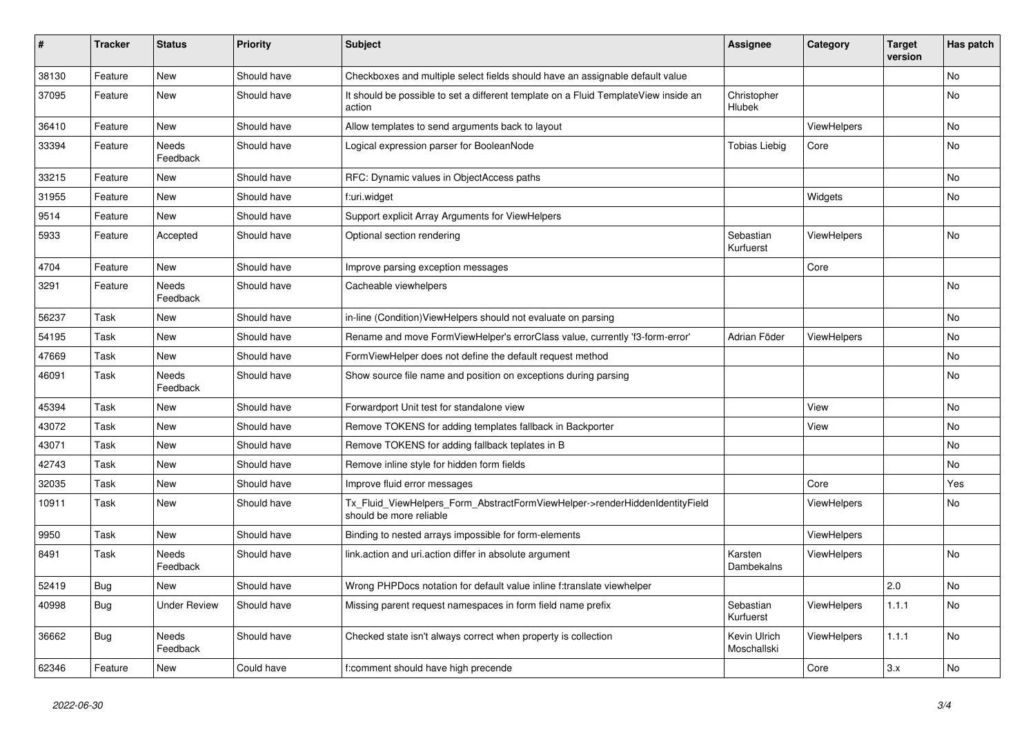| #     | <b>Tracker</b> | <b>Status</b>            | <b>Priority</b> | <b>Subject</b>                                                                                         | Assignee                     | Category           | <b>Target</b><br>version | Has patch |
|-------|----------------|--------------------------|-----------------|--------------------------------------------------------------------------------------------------------|------------------------------|--------------------|--------------------------|-----------|
| 38130 | Feature        | New                      | Should have     | Checkboxes and multiple select fields should have an assignable default value                          |                              |                    |                          | <b>No</b> |
| 37095 | Feature        | New                      | Should have     | It should be possible to set a different template on a Fluid TemplateView inside an<br>action          | Christopher<br><b>Hlubek</b> |                    |                          | No        |
| 36410 | Feature        | <b>New</b>               | Should have     | Allow templates to send arguments back to layout                                                       |                              | <b>ViewHelpers</b> |                          | No        |
| 33394 | Feature        | <b>Needs</b><br>Feedback | Should have     | Logical expression parser for BooleanNode                                                              | <b>Tobias Liebig</b>         | Core               |                          | No        |
| 33215 | Feature        | New                      | Should have     | RFC: Dynamic values in ObjectAccess paths                                                              |                              |                    |                          | No        |
| 31955 | Feature        | New                      | Should have     | f:uri.widget                                                                                           |                              | Widgets            |                          | No        |
| 9514  | Feature        | New                      | Should have     | Support explicit Array Arguments for ViewHelpers                                                       |                              |                    |                          |           |
| 5933  | Feature        | Accepted                 | Should have     | Optional section rendering                                                                             | Sebastian<br>Kurfuerst       | ViewHelpers        |                          | <b>No</b> |
| 4704  | Feature        | New                      | Should have     | Improve parsing exception messages                                                                     |                              | Core               |                          |           |
| 3291  | Feature        | Needs<br>Feedback        | Should have     | Cacheable viewhelpers                                                                                  |                              |                    |                          | <b>No</b> |
| 56237 | Task           | <b>New</b>               | Should have     | in-line (Condition)ViewHelpers should not evaluate on parsing                                          |                              |                    |                          | <b>No</b> |
| 54195 | Task           | <b>New</b>               | Should have     | Rename and move FormViewHelper's errorClass value, currently 'f3-form-error'                           | Adrian Föder                 | <b>ViewHelpers</b> |                          | No        |
| 47669 | Task           | <b>New</b>               | Should have     | FormViewHelper does not define the default request method                                              |                              |                    |                          | <b>No</b> |
| 46091 | Task           | <b>Needs</b><br>Feedback | Should have     | Show source file name and position on exceptions during parsing                                        |                              |                    |                          | No        |
| 45394 | Task           | New                      | Should have     | Forwardport Unit test for standalone view                                                              |                              | View               |                          | No        |
| 43072 | Task           | New                      | Should have     | Remove TOKENS for adding templates fallback in Backporter                                              |                              | View               |                          | No        |
| 43071 | Task           | New                      | Should have     | Remove TOKENS for adding fallback teplates in B                                                        |                              |                    |                          | <b>No</b> |
| 42743 | Task           | New                      | Should have     | Remove inline style for hidden form fields                                                             |                              |                    |                          | No        |
| 32035 | Task           | New                      | Should have     | Improve fluid error messages                                                                           |                              | Core               |                          | Yes       |
| 10911 | Task           | New                      | Should have     | Tx_Fluid_ViewHelpers_Form_AbstractFormViewHelper->renderHiddenIdentityField<br>should be more reliable |                              | <b>ViewHelpers</b> |                          | No        |
| 9950  | Task           | New                      | Should have     | Binding to nested arrays impossible for form-elements                                                  |                              | ViewHelpers        |                          |           |
| 8491  | Task           | <b>Needs</b><br>Feedback | Should have     | link.action and uri.action differ in absolute argument                                                 | Karsten<br>Dambekalns        | <b>ViewHelpers</b> |                          | <b>No</b> |
| 52419 | Bug            | <b>New</b>               | Should have     | Wrong PHPDocs notation for default value inline f:translate viewhelper                                 |                              |                    | 2.0                      | <b>No</b> |
| 40998 | Bug            | <b>Under Review</b>      | Should have     | Missing parent request namespaces in form field name prefix                                            | Sebastian<br>Kurfuerst       | <b>ViewHelpers</b> | 1.1.1                    | <b>No</b> |
| 36662 | <b>Bug</b>     | Needs<br>Feedback        | Should have     | Checked state isn't always correct when property is collection                                         | Kevin Ulrich<br>Moschallski  | ViewHelpers        | 1.1.1                    | No        |
| 62346 | Feature        | <b>New</b>               | Could have      | f:comment should have high precende                                                                    |                              | Core               | 3.x                      | No        |